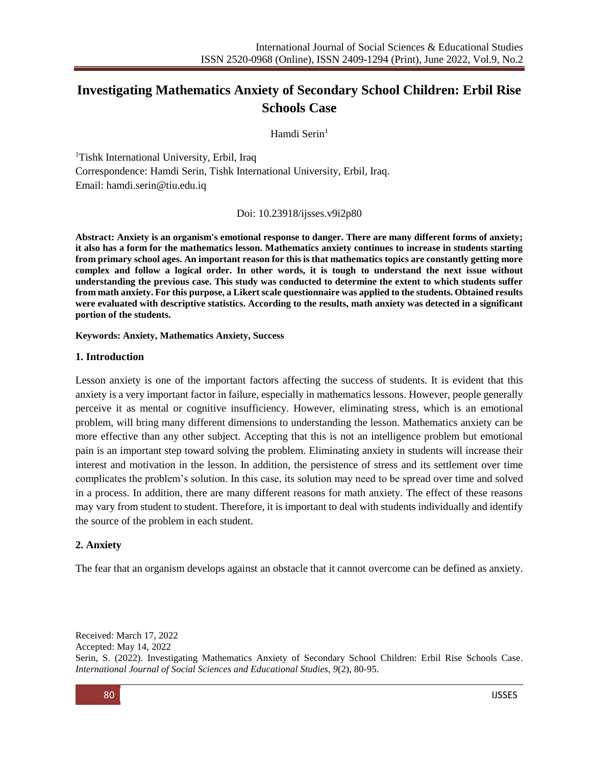# **Investigating Mathematics Anxiety of Secondary School Children: Erbil Rise Schools Case**

Hamdi Serin<sup>1</sup>

<sup>1</sup>Tishk International University, Erbil, Iraq Correspondence: Hamdi Serin, Tishk International University, Erbil, Iraq. Email: [hamdi.serin@tiu.edu.iq](mailto:hamdi.serin@tiu.edu.iq)

Doi: 10.23918/ijsses.v9i2p80

**Abstract: Anxiety is an organism's emotional response to danger. There are many different forms of anxiety; it also has a form for the mathematics lesson. Mathematics anxiety continues to increase in students starting from primary school ages. An important reason for this is that mathematics topics are constantly getting more complex and follow a logical order. In other words, it is tough to understand the next issue without understanding the previous case. This study was conducted to determine the extent to which students suffer from math anxiety. For this purpose, a Likert scale questionnaire was applied to the students. Obtained results were evaluated with descriptive statistics. According to the results, math anxiety was detected in a significant portion of the students.**

**Keywords: Anxiety, Mathematics Anxiety, Success**

#### **1. Introduction**

Lesson anxiety is one of the important factors affecting the success of students. It is evident that this anxiety is a very important factor in failure, especially in mathematics lessons. However, people generally perceive it as mental or cognitive insufficiency. However, eliminating stress, which is an emotional problem, will bring many different dimensions to understanding the lesson. Mathematics anxiety can be more effective than any other subject. Accepting that this is not an intelligence problem but emotional pain is an important step toward solving the problem. Eliminating anxiety in students will increase their interest and motivation in the lesson. In addition, the persistence of stress and its settlement over time complicates the problem's solution. In this case, its solution may need to be spread over time and solved in a process. In addition, there are many different reasons for math anxiety. The effect of these reasons may vary from student to student. Therefore, it is important to deal with students individually and identify the source of the problem in each student.

### **2. Anxiety**

The fear that an organism develops against an obstacle that it cannot overcome can be defined as anxiety.

Received: March 17, 2022 Accepted: May 14, 2022 Serin, S. (2022). Investigating Mathematics Anxiety of Secondary School Children: Erbil Rise Schools Case. *International Journal of Social Sciences and Educational Studies, 9*(2), 80-95.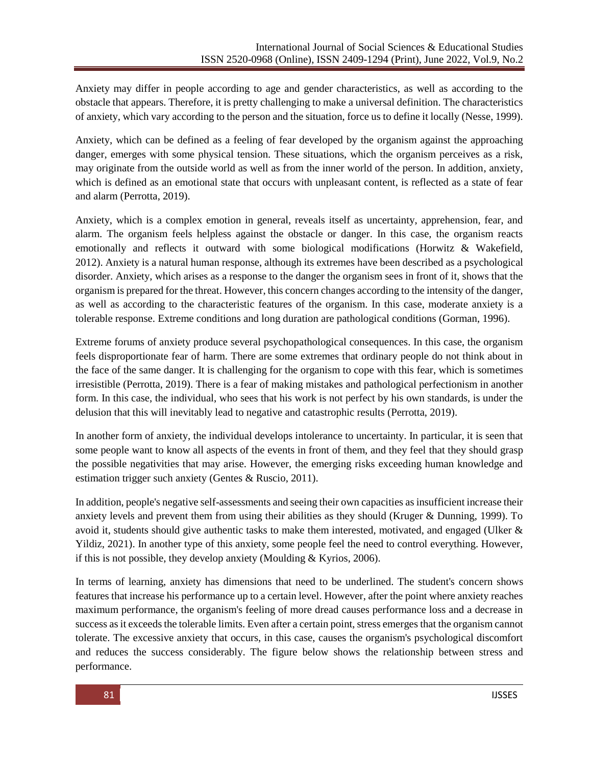Anxiety may differ in people according to age and gender characteristics, as well as according to the obstacle that appears. Therefore, it is pretty challenging to make a universal definition. The characteristics of anxiety, which vary according to the person and the situation, force us to define it locally (Nesse, 1999).

Anxiety, which can be defined as a feeling of fear developed by the organism against the approaching danger, emerges with some physical tension. These situations, which the organism perceives as a risk, may originate from the outside world as well as from the inner world of the person. In addition, anxiety, which is defined as an emotional state that occurs with unpleasant content, is reflected as a state of fear and alarm (Perrotta, 2019).

Anxiety, which is a complex emotion in general, reveals itself as uncertainty, apprehension, fear, and alarm. The organism feels helpless against the obstacle or danger. In this case, the organism reacts emotionally and reflects it outward with some biological modifications (Horwitz & Wakefield, 2012). Anxiety is a natural human response, although its extremes have been described as a psychological disorder. Anxiety, which arises as a response to the danger the organism sees in front of it, shows that the organism is prepared for the threat. However, this concern changes according to the intensity of the danger, as well as according to the characteristic features of the organism. In this case, moderate anxiety is a tolerable response. Extreme conditions and long duration are pathological conditions (Gorman, 1996).

Extreme forums of anxiety produce several psychopathological consequences. In this case, the organism feels disproportionate fear of harm. There are some extremes that ordinary people do not think about in the face of the same danger. It is challenging for the organism to cope with this fear, which is sometimes irresistible (Perrotta, 2019). There is a fear of making mistakes and pathological perfectionism in another form. In this case, the individual, who sees that his work is not perfect by his own standards, is under the delusion that this will inevitably lead to negative and catastrophic results (Perrotta, 2019).

In another form of anxiety, the individual develops intolerance to uncertainty. In particular, it is seen that some people want to know all aspects of the events in front of them, and they feel that they should grasp the possible negativities that may arise. However, the emerging risks exceeding human knowledge and estimation trigger such anxiety (Gentes & Ruscio, 2011).

In addition, people's negative self-assessments and seeing their own capacities as insufficient increase their anxiety levels and prevent them from using their abilities as they should (Kruger & Dunning, 1999). To avoid it, students should give authentic tasks to make them interested, motivated, and engaged (Ulker & Yildiz, 2021). In another type of this anxiety, some people feel the need to control everything. However, if this is not possible, they develop anxiety (Moulding & Kyrios, 2006).

In terms of learning, anxiety has dimensions that need to be underlined. The student's concern shows features that increase his performance up to a certain level. However, after the point where anxiety reaches maximum performance, the organism's feeling of more dread causes performance loss and a decrease in success as it exceeds the tolerable limits. Even after a certain point, stress emerges that the organism cannot tolerate. The excessive anxiety that occurs, in this case, causes the organism's psychological discomfort and reduces the success considerably. The figure below shows the relationship between stress and performance.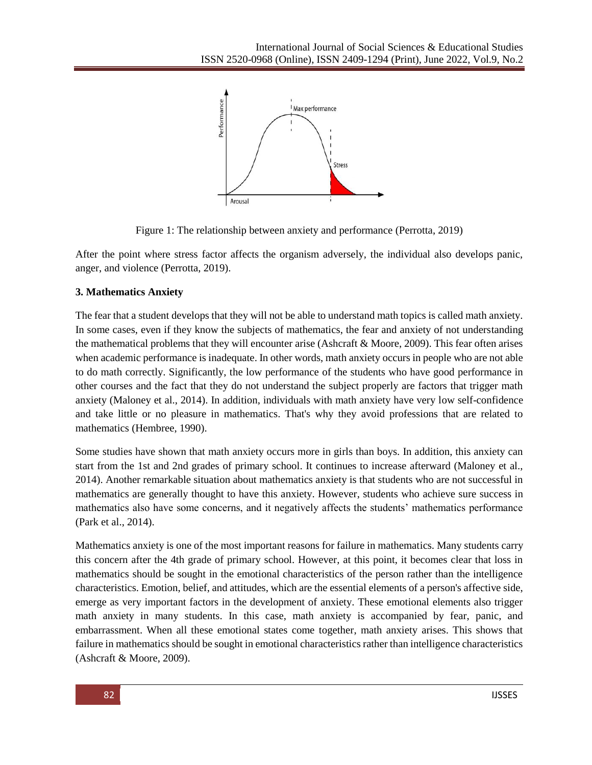

Figure 1: The relationship between anxiety and performance (Perrotta, 2019)

After the point where stress factor affects the organism adversely, the individual also develops panic, anger, and violence (Perrotta, 2019).

# **3. Mathematics Anxiety**

The fear that a student develops that they will not be able to understand math topics is called math anxiety. In some cases, even if they know the subjects of mathematics, the fear and anxiety of not understanding the mathematical problems that they will encounter arise (Ashcraft & Moore, 2009). This fear often arises when academic performance is inadequate. In other words, math anxiety occurs in people who are not able to do math correctly. Significantly, the low performance of the students who have good performance in other courses and the fact that they do not understand the subject properly are factors that trigger math anxiety (Maloney et al., 2014). In addition, individuals with math anxiety have very low self-confidence and take little or no pleasure in mathematics. That's why they avoid professions that are related to mathematics (Hembree, 1990).

Some studies have shown that math anxiety occurs more in girls than boys. In addition, this anxiety can start from the 1st and 2nd grades of primary school. It continues to increase afterward (Maloney et al., 2014). Another remarkable situation about mathematics anxiety is that students who are not successful in mathematics are generally thought to have this anxiety. However, students who achieve sure success in mathematics also have some concerns, and it negatively affects the students' mathematics performance (Park et al., 2014).

Mathematics anxiety is one of the most important reasons for failure in mathematics. Many students carry this concern after the 4th grade of primary school. However, at this point, it becomes clear that loss in mathematics should be sought in the emotional characteristics of the person rather than the intelligence characteristics. Emotion, belief, and attitudes, which are the essential elements of a person's affective side, emerge as very important factors in the development of anxiety. These emotional elements also trigger math anxiety in many students. In this case, math anxiety is accompanied by fear, panic, and embarrassment. When all these emotional states come together, math anxiety arises. This shows that failure in mathematics should be sought in emotional characteristics rather than intelligence characteristics (Ashcraft & Moore, 2009).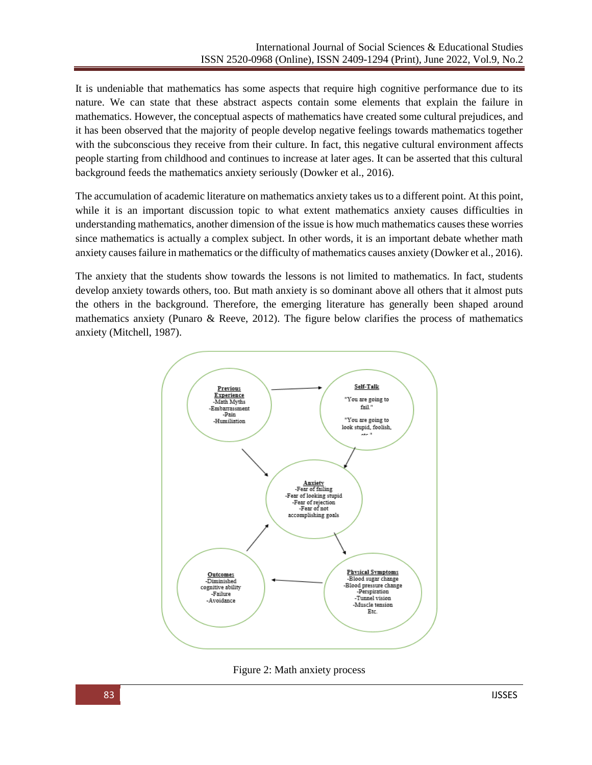It is undeniable that mathematics has some aspects that require high cognitive performance due to its nature. We can state that these abstract aspects contain some elements that explain the failure in mathematics. However, the conceptual aspects of mathematics have created some cultural prejudices, and it has been observed that the majority of people develop negative feelings towards mathematics together with the subconscious they receive from their culture. In fact, this negative cultural environment affects people starting from childhood and continues to increase at later ages. It can be asserted that this cultural background feeds the mathematics anxiety seriously (Dowker et al., 2016).

The accumulation of academic literature on mathematics anxiety takes us to a different point. At this point, while it is an important discussion topic to what extent mathematics anxiety causes difficulties in understanding mathematics, another dimension of the issue is how much mathematics causes these worries since mathematics is actually a complex subject. In other words, it is an important debate whether math anxiety causes failure in mathematics or the difficulty of mathematics causes anxiety (Dowker et al., 2016).

The anxiety that the students show towards the lessons is not limited to mathematics. In fact, students develop anxiety towards others, too. But math anxiety is so dominant above all others that it almost puts the others in the background. Therefore, the emerging literature has generally been shaped around mathematics anxiety (Punaro & Reeve, 2012). The figure below clarifies the process of mathematics anxiety (Mitchell, 1987).



Figure 2: Math anxiety process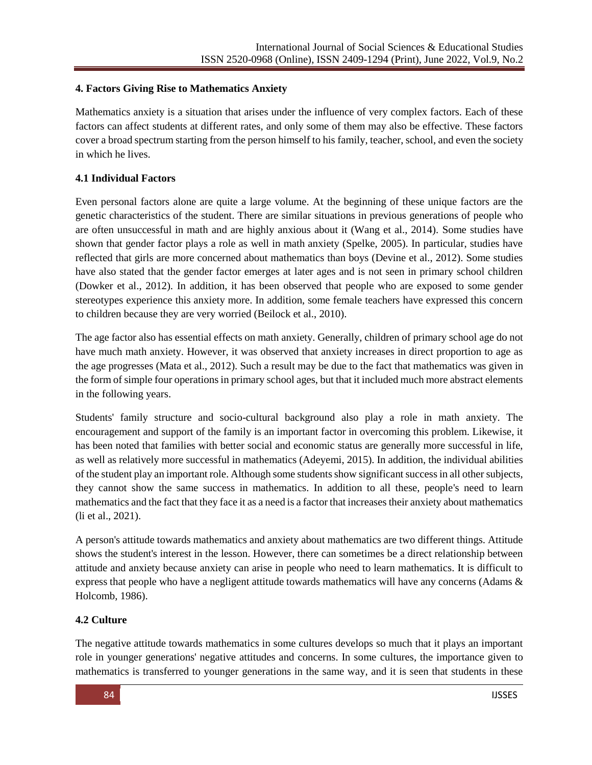# **4. Factors Giving Rise to Mathematics Anxiety**

Mathematics anxiety is a situation that arises under the influence of very complex factors. Each of these factors can affect students at different rates, and only some of them may also be effective. These factors cover a broad spectrum starting from the person himself to his family, teacher, school, and even the society in which he lives.

# **4.1 Individual Factors**

Even personal factors alone are quite a large volume. At the beginning of these unique factors are the genetic characteristics of the student. There are similar situations in previous generations of people who are often unsuccessful in math and are highly anxious about it (Wang et al., 2014). Some studies have shown that gender factor plays a role as well in math anxiety (Spelke, 2005). In particular, studies have reflected that girls are more concerned about mathematics than boys (Devine et al., 2012). Some studies have also stated that the gender factor emerges at later ages and is not seen in primary school children (Dowker et al., 2012). In addition, it has been observed that people who are exposed to some gender stereotypes experience this anxiety more. In addition, some female teachers have expressed this concern to children because they are very worried (Beilock et al., 2010).

The age factor also has essential effects on math anxiety. Generally, children of primary school age do not have much math anxiety. However, it was observed that anxiety increases in direct proportion to age as the age progresses (Mata et al., 2012). Such a result may be due to the fact that mathematics was given in the form of simple four operations in primary school ages, but that it included much more abstract elements in the following years.

Students' family structure and socio-cultural background also play a role in math anxiety. The encouragement and support of the family is an important factor in overcoming this problem. Likewise, it has been noted that families with better social and economic status are generally more successful in life, as well as relatively more successful in mathematics (Adeyemi, 2015). In addition, the individual abilities of the student play an important role. Although some students show significant success in all other subjects, they cannot show the same success in mathematics. In addition to all these, people's need to learn mathematics and the fact that they face it as a need is a factor that increases their anxiety about mathematics (li et al., 2021).

A person's attitude towards mathematics and anxiety about mathematics are two different things. Attitude shows the student's interest in the lesson. However, there can sometimes be a direct relationship between attitude and anxiety because anxiety can arise in people who need to learn mathematics. It is difficult to express that people who have a negligent attitude towards mathematics will have any concerns (Adams & Holcomb, 1986).

# **4.2 Culture**

The negative attitude towards mathematics in some cultures develops so much that it plays an important role in younger generations' negative attitudes and concerns. In some cultures, the importance given to mathematics is transferred to younger generations in the same way, and it is seen that students in these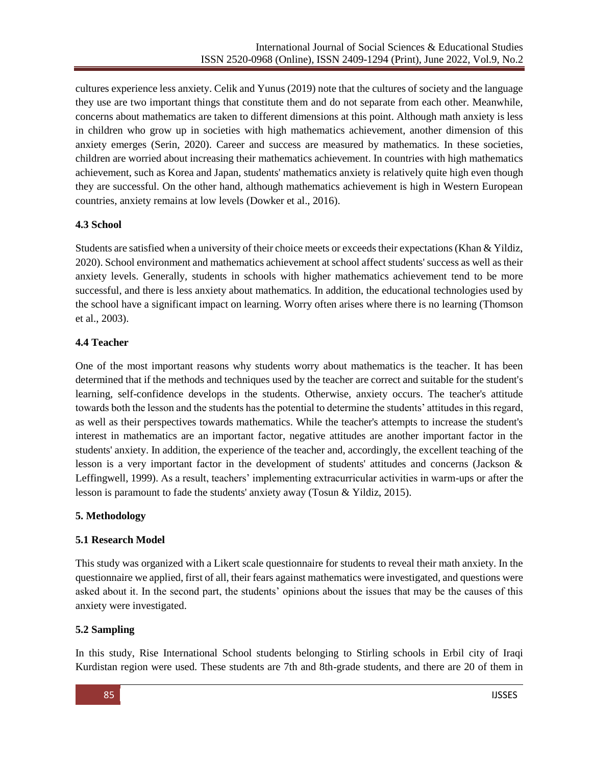cultures experience less anxiety. Celik and Yunus (2019) note that the cultures of society and the language they use are two important things that constitute them and do not separate from each other. Meanwhile, concerns about mathematics are taken to different dimensions at this point. Although math anxiety is less in children who grow up in societies with high mathematics achievement, another dimension of this anxiety emerges (Serin, 2020). Career and success are measured by mathematics. In these societies, children are worried about increasing their mathematics achievement. In countries with high mathematics achievement, such as Korea and Japan, students' mathematics anxiety is relatively quite high even though they are successful. On the other hand, although mathematics achievement is high in Western European countries, anxiety remains at low levels (Dowker et al., 2016).

# **4.3 School**

Students are satisfied when a university of their choice meets or exceeds their expectations (Khan & Yildiz, 2020). School environment and mathematics achievement at school affect students' success as well as their anxiety levels. Generally, students in schools with higher mathematics achievement tend to be more successful, and there is less anxiety about mathematics. In addition, the educational technologies used by the school have a significant impact on learning. Worry often arises where there is no learning (Thomson et al., 2003).

# **4.4 Teacher**

One of the most important reasons why students worry about mathematics is the teacher. It has been determined that if the methods and techniques used by the teacher are correct and suitable for the student's learning, self-confidence develops in the students. Otherwise, anxiety occurs. The teacher's attitude towards both the lesson and the students has the potential to determine the students' attitudes in this regard, as well as their perspectives towards mathematics. While the teacher's attempts to increase the student's interest in mathematics are an important factor, negative attitudes are another important factor in the students' anxiety. In addition, the experience of the teacher and, accordingly, the excellent teaching of the lesson is a very important factor in the development of students' attitudes and concerns (Jackson & Leffingwell, 1999). As a result, teachers' implementing extracurricular activities in warm-ups or after the lesson is paramount to fade the students' anxiety away (Tosun & Yildiz, 2015).

# **5. Methodology**

# **5.1 Research Model**

This study was organized with a Likert scale questionnaire for students to reveal their math anxiety. In the questionnaire we applied, first of all, their fears against mathematics were investigated, and questions were asked about it. In the second part, the students' opinions about the issues that may be the causes of this anxiety were investigated.

### **5.2 Sampling**

In this study, Rise International School students belonging to Stirling schools in Erbil city of Iraqi Kurdistan region were used. These students are 7th and 8th-grade students, and there are 20 of them in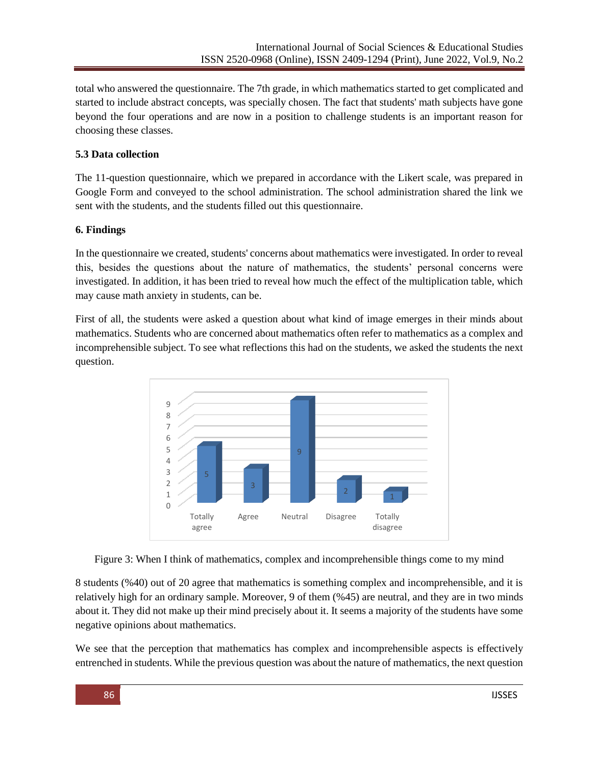total who answered the questionnaire. The 7th grade, in which mathematics started to get complicated and started to include abstract concepts, was specially chosen. The fact that students' math subjects have gone beyond the four operations and are now in a position to challenge students is an important reason for choosing these classes.

# **5.3 Data collection**

The 11-question questionnaire, which we prepared in accordance with the Likert scale, was prepared in Google Form and conveyed to the school administration. The school administration shared the link we sent with the students, and the students filled out this questionnaire.

# **6. Findings**

In the questionnaire we created, students' concerns about mathematics were investigated. In order to reveal this, besides the questions about the nature of mathematics, the students' personal concerns were investigated. In addition, it has been tried to reveal how much the effect of the multiplication table, which may cause math anxiety in students, can be.

First of all, the students were asked a question about what kind of image emerges in their minds about mathematics. Students who are concerned about mathematics often refer to mathematics as a complex and incomprehensible subject. To see what reflections this had on the students, we asked the students the next question.





8 students (%40) out of 20 agree that mathematics is something complex and incomprehensible, and it is relatively high for an ordinary sample. Moreover, 9 of them (%45) are neutral, and they are in two minds about it. They did not make up their mind precisely about it. It seems a majority of the students have some negative opinions about mathematics.

We see that the perception that mathematics has complex and incomprehensible aspects is effectively entrenched in students. While the previous question was about the nature of mathematics, the next question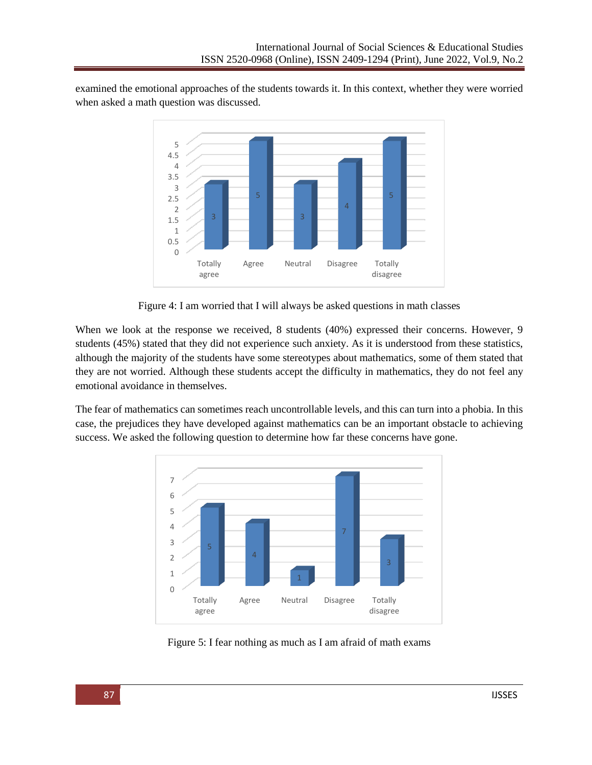examined the emotional approaches of the students towards it. In this context, whether they were worried when asked a math question was discussed.



Figure 4: I am worried that I will always be asked questions in math classes

When we look at the response we received, 8 students (40%) expressed their concerns. However, 9 students (45%) stated that they did not experience such anxiety. As it is understood from these statistics, although the majority of the students have some stereotypes about mathematics, some of them stated that they are not worried. Although these students accept the difficulty in mathematics, they do not feel any emotional avoidance in themselves.

The fear of mathematics can sometimes reach uncontrollable levels, and this can turn into a phobia. In this case, the prejudices they have developed against mathematics can be an important obstacle to achieving success. We asked the following question to determine how far these concerns have gone.



Figure 5: I fear nothing as much as I am afraid of math exams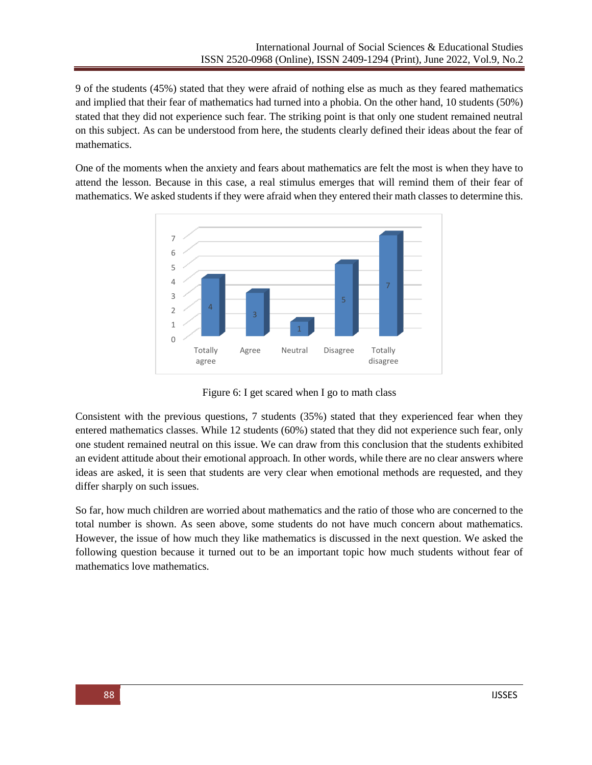9 of the students (45%) stated that they were afraid of nothing else as much as they feared mathematics and implied that their fear of mathematics had turned into a phobia. On the other hand, 10 students (50%) stated that they did not experience such fear. The striking point is that only one student remained neutral on this subject. As can be understood from here, the students clearly defined their ideas about the fear of mathematics.

One of the moments when the anxiety and fears about mathematics are felt the most is when they have to attend the lesson. Because in this case, a real stimulus emerges that will remind them of their fear of mathematics. We asked students if they were afraid when they entered their math classes to determine this.



Figure 6: I get scared when I go to math class

Consistent with the previous questions, 7 students (35%) stated that they experienced fear when they entered mathematics classes. While 12 students (60%) stated that they did not experience such fear, only one student remained neutral on this issue. We can draw from this conclusion that the students exhibited an evident attitude about their emotional approach. In other words, while there are no clear answers where ideas are asked, it is seen that students are very clear when emotional methods are requested, and they differ sharply on such issues.

So far, how much children are worried about mathematics and the ratio of those who are concerned to the total number is shown. As seen above, some students do not have much concern about mathematics. However, the issue of how much they like mathematics is discussed in the next question. We asked the following question because it turned out to be an important topic how much students without fear of mathematics love mathematics.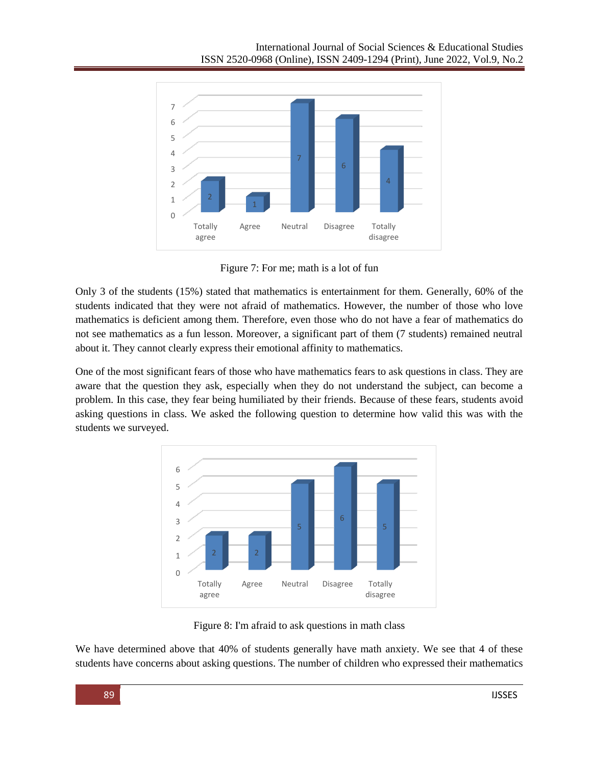

Figure 7: For me; math is a lot of fun

Only 3 of the students (15%) stated that mathematics is entertainment for them. Generally, 60% of the students indicated that they were not afraid of mathematics. However, the number of those who love mathematics is deficient among them. Therefore, even those who do not have a fear of mathematics do not see mathematics as a fun lesson. Moreover, a significant part of them (7 students) remained neutral about it. They cannot clearly express their emotional affinity to mathematics.

One of the most significant fears of those who have mathematics fears to ask questions in class. They are aware that the question they ask, especially when they do not understand the subject, can become a problem. In this case, they fear being humiliated by their friends. Because of these fears, students avoid asking questions in class. We asked the following question to determine how valid this was with the students we surveyed.



Figure 8: I'm afraid to ask questions in math class

We have determined above that 40% of students generally have math anxiety. We see that 4 of these students have concerns about asking questions. The number of children who expressed their mathematics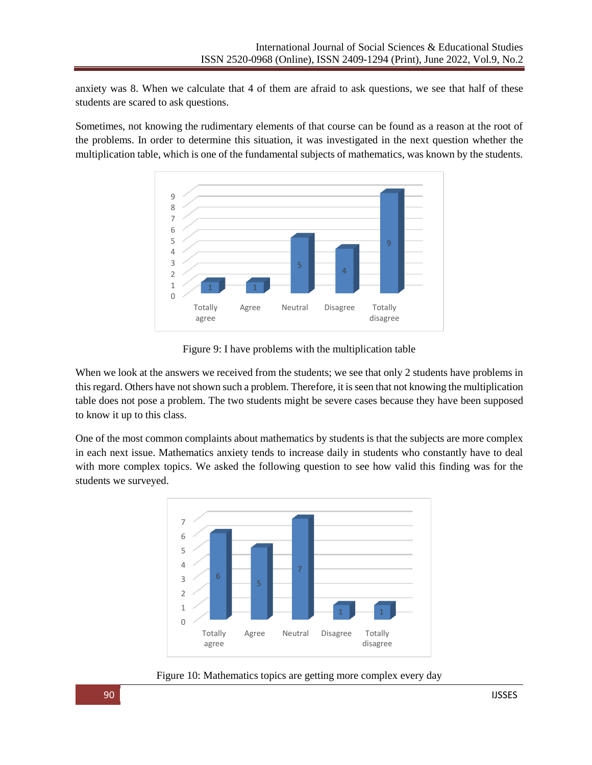anxiety was 8. When we calculate that 4 of them are afraid to ask questions, we see that half of these students are scared to ask questions.

Sometimes, not knowing the rudimentary elements of that course can be found as a reason at the root of the problems. In order to determine this situation, it was investigated in the next question whether the multiplication table, which is one of the fundamental subjects of mathematics, was known by the students.



Figure 9: I have problems with the multiplication table

When we look at the answers we received from the students; we see that only 2 students have problems in this regard. Others have not shown such a problem. Therefore, it is seen that not knowing the multiplication table does not pose a problem. The two students might be severe cases because they have been supposed to know it up to this class.

One of the most common complaints about mathematics by students is that the subjects are more complex in each next issue. Mathematics anxiety tends to increase daily in students who constantly have to deal with more complex topics. We asked the following question to see how valid this finding was for the students we surveyed.



Figure 10: Mathematics topics are getting more complex every day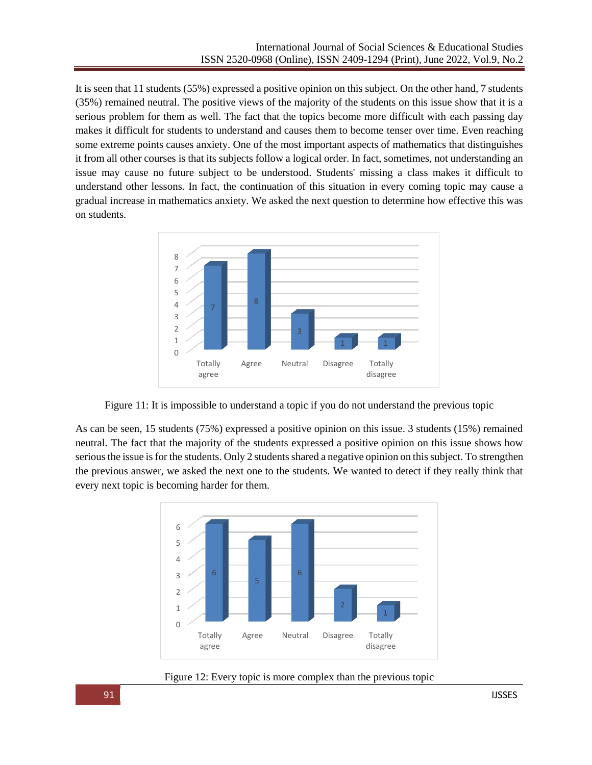It is seen that 11 students (55%) expressed a positive opinion on this subject. On the other hand, 7 students (35%) remained neutral. The positive views of the majority of the students on this issue show that it is a serious problem for them as well. The fact that the topics become more difficult with each passing day makes it difficult for students to understand and causes them to become tenser over time. Even reaching some extreme points causes anxiety. One of the most important aspects of mathematics that distinguishes it from all other courses is that its subjects follow a logical order. In fact, sometimes, not understanding an issue may cause no future subject to be understood. Students' missing a class makes it difficult to understand other lessons. In fact, the continuation of this situation in every coming topic may cause a gradual increase in mathematics anxiety. We asked the next question to determine how effective this was on students.



Figure 11: It is impossible to understand a topic if you do not understand the previous topic

As can be seen, 15 students (75%) expressed a positive opinion on this issue. 3 students (15%) remained neutral. The fact that the majority of the students expressed a positive opinion on this issue shows how serious the issue is for the students. Only 2 students shared a negative opinion on this subject. To strengthen the previous answer, we asked the next one to the students. We wanted to detect if they really think that every next topic is becoming harder for them.



Figure 12: Every topic is more complex than the previous topic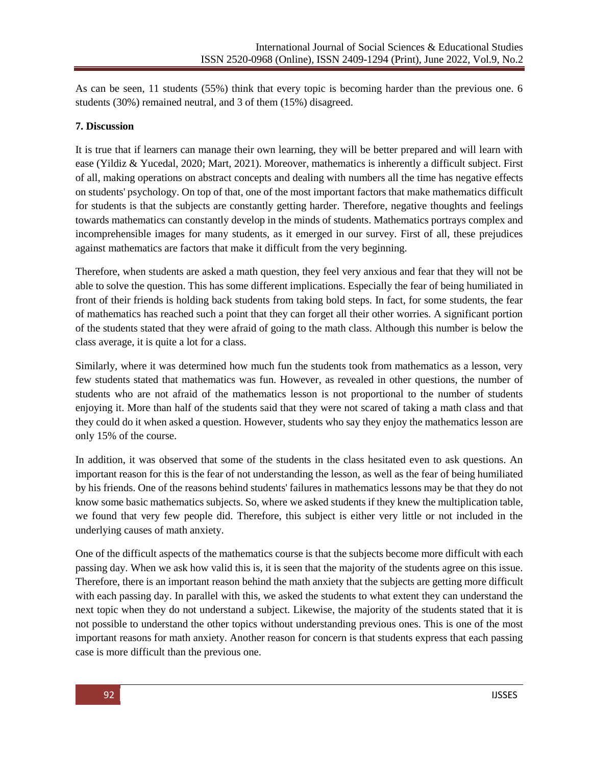As can be seen, 11 students (55%) think that every topic is becoming harder than the previous one. 6 students (30%) remained neutral, and 3 of them (15%) disagreed.

#### **7. Discussion**

It is true that if learners can manage their own learning, they will be better prepared and will learn with ease (Yildiz & Yucedal, 2020; Mart, 2021). Moreover, mathematics is inherently a difficult subject. First of all, making operations on abstract concepts and dealing with numbers all the time has negative effects on students' psychology. On top of that, one of the most important factors that make mathematics difficult for students is that the subjects are constantly getting harder. Therefore, negative thoughts and feelings towards mathematics can constantly develop in the minds of students. Mathematics portrays complex and incomprehensible images for many students, as it emerged in our survey. First of all, these prejudices against mathematics are factors that make it difficult from the very beginning.

Therefore, when students are asked a math question, they feel very anxious and fear that they will not be able to solve the question. This has some different implications. Especially the fear of being humiliated in front of their friends is holding back students from taking bold steps. In fact, for some students, the fear of mathematics has reached such a point that they can forget all their other worries. A significant portion of the students stated that they were afraid of going to the math class. Although this number is below the class average, it is quite a lot for a class.

Similarly, where it was determined how much fun the students took from mathematics as a lesson, very few students stated that mathematics was fun. However, as revealed in other questions, the number of students who are not afraid of the mathematics lesson is not proportional to the number of students enjoying it. More than half of the students said that they were not scared of taking a math class and that they could do it when asked a question. However, students who say they enjoy the mathematics lesson are only 15% of the course.

In addition, it was observed that some of the students in the class hesitated even to ask questions. An important reason for this is the fear of not understanding the lesson, as well as the fear of being humiliated by his friends. One of the reasons behind students' failures in mathematics lessons may be that they do not know some basic mathematics subjects. So, where we asked students if they knew the multiplication table, we found that very few people did. Therefore, this subject is either very little or not included in the underlying causes of math anxiety.

One of the difficult aspects of the mathematics course is that the subjects become more difficult with each passing day. When we ask how valid this is, it is seen that the majority of the students agree on this issue. Therefore, there is an important reason behind the math anxiety that the subjects are getting more difficult with each passing day. In parallel with this, we asked the students to what extent they can understand the next topic when they do not understand a subject. Likewise, the majority of the students stated that it is not possible to understand the other topics without understanding previous ones. This is one of the most important reasons for math anxiety. Another reason for concern is that students express that each passing case is more difficult than the previous one.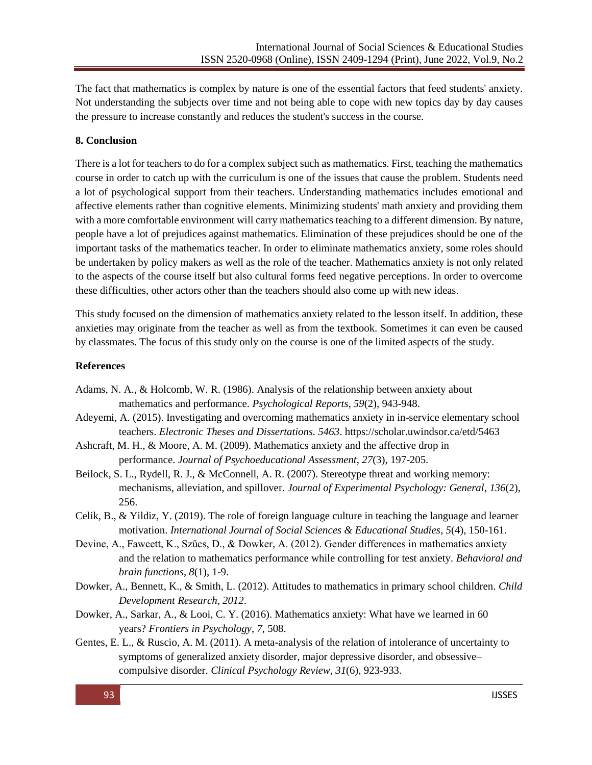The fact that mathematics is complex by nature is one of the essential factors that feed students' anxiety. Not understanding the subjects over time and not being able to cope with new topics day by day causes the pressure to increase constantly and reduces the student's success in the course.

# **8. Conclusion**

There is a lot for teachers to do for a complex subject such as mathematics. First, teaching the mathematics course in order to catch up with the curriculum is one of the issues that cause the problem. Students need a lot of psychological support from their teachers. Understanding mathematics includes emotional and affective elements rather than cognitive elements. Minimizing students' math anxiety and providing them with a more comfortable environment will carry mathematics teaching to a different dimension. By nature, people have a lot of prejudices against mathematics. Elimination of these prejudices should be one of the important tasks of the mathematics teacher. In order to eliminate mathematics anxiety, some roles should be undertaken by policy makers as well as the role of the teacher. Mathematics anxiety is not only related to the aspects of the course itself but also cultural forms feed negative perceptions. In order to overcome these difficulties, other actors other than the teachers should also come up with new ideas.

This study focused on the dimension of mathematics anxiety related to the lesson itself. In addition, these anxieties may originate from the teacher as well as from the textbook. Sometimes it can even be caused by classmates. The focus of this study only on the course is one of the limited aspects of the study.

#### **References**

- Adams, N. A., & Holcomb, W. R. (1986). Analysis of the relationship between anxiety about mathematics and performance. *Psychological Reports*, *59*(2), 943-948.
- Adeyemi, A. (2015). Investigating and overcoming mathematics anxiety in in-service elementary school teachers. *Electronic Theses and Dissertations. 5463*[. https://scholar.uwindsor.ca/etd/5463](https://scholar.uwindsor.ca/etd/5463)
- Ashcraft, M. H., & Moore, A. M. (2009). Mathematics anxiety and the affective drop in performance. *Journal of Psychoeducational Assessment*, *27*(3), 197-205.
- Beilock, S. L., Rydell, R. J., & McConnell, A. R. (2007). Stereotype threat and working memory: mechanisms, alleviation, and spillover. *Journal of Experimental Psychology: General*, *136*(2), 256.
- Celik, B., & Yildiz, Y. (2019). The role of foreign language culture in teaching the language and learner motivation. *International Journal of Social Sciences & Educational Studies*, *5*(4), 150-161.
- Devine, A., Fawcett, K., Szűcs, D., & Dowker, A. (2012). Gender differences in mathematics anxiety and the relation to mathematics performance while controlling for test anxiety. *Behavioral and brain functions*, *8*(1), 1-9.
- Dowker, A., Bennett, K., & Smith, L. (2012). Attitudes to mathematics in primary school children. *Child Development Research*, *2012*.
- Dowker, A., Sarkar, A., & Looi, C. Y. (2016). Mathematics anxiety: What have we learned in 60 years? *Frontiers in Psychology*, *7*, 508.
- Gentes, E. L., & Ruscio, A. M. (2011). A meta-analysis of the relation of intolerance of uncertainty to symptoms of generalized anxiety disorder, major depressive disorder, and obsessive– compulsive disorder. *Clinical Psychology Review*, *31*(6), 923-933.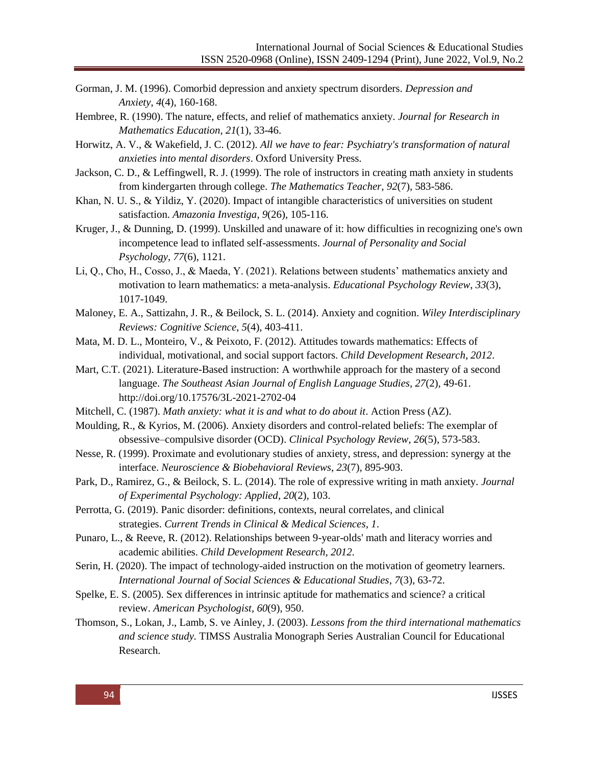- Gorman, J. M. (1996). Comorbid depression and anxiety spectrum disorders. *Depression and Anxiety*, *4*(4), 160-168.
- Hembree, R. (1990). The nature, effects, and relief of mathematics anxiety. *Journal for Research in Mathematics Education*, *21*(1), 33-46.
- Horwitz, A. V., & Wakefield, J. C. (2012). *All we have to fear: Psychiatry's transformation of natural anxieties into mental disorders*. Oxford University Press.
- Jackson, C. D., & Leffingwell, R. J. (1999). The role of instructors in creating math anxiety in students from kindergarten through college. *The Mathematics Teacher*, *92*(7), 583-586.
- Khan, N. U. S., & Yildiz, Y. (2020). Impact of intangible characteristics of universities on student satisfaction. *Amazonia Investiga*, *9*(26), 105-116.
- Kruger, J., & Dunning, D. (1999). Unskilled and unaware of it: how difficulties in recognizing one's own incompetence lead to inflated self-assessments. *Journal of Personality and Social Psychology*, *77*(6), 1121.
- Li, Q., Cho, H., Cosso, J., & Maeda, Y. (2021). Relations between students' mathematics anxiety and motivation to learn mathematics: a meta-analysis. *Educational Psychology Review*, *33*(3), 1017-1049.
- Maloney, E. A., Sattizahn, J. R., & Beilock, S. L. (2014). Anxiety and cognition. *Wiley Interdisciplinary Reviews: Cognitive Science*, *5*(4), 403-411.
- Mata, M. D. L., Monteiro, V., & Peixoto, F. (2012). Attitudes towards mathematics: Effects of individual, motivational, and social support factors. *Child Development Research*, *2012*.
- Mart, C.T. (2021). Literature-Based instruction: A worthwhile approach for the mastery of a second language. *The Southeast Asian Journal of English Language Studies, 27*(2), 49-61. http://doi.org/10.17576/3L-2021-2702-04
- Mitchell, C. (1987). *Math anxiety: what it is and what to do about it*. Action Press (AZ).
- Moulding, R., & Kyrios, M. (2006). Anxiety disorders and control-related beliefs: The exemplar of obsessive–compulsive disorder (OCD). *Clinical Psychology Review*, *26*(5), 573-583.
- Nesse, R. (1999). Proximate and evolutionary studies of anxiety, stress, and depression: synergy at the interface. *Neuroscience & Biobehavioral Reviews*, *23*(7), 895-903.
- Park, D., Ramirez, G., & Beilock, S. L. (2014). The role of expressive writing in math anxiety. *Journal of Experimental Psychology: Applied*, *20*(2), 103.
- Perrotta, G. (2019). Panic disorder: definitions, contexts, neural correlates, and clinical strategies. *Current Trends in Clinical & Medical Sciences*, *1*.
- Punaro, L., & Reeve, R. (2012). Relationships between 9-year-olds' math and literacy worries and academic abilities. *Child Development Research*, *2012*.
- Serin, H. (2020). The impact of technology-aided instruction on the motivation of geometry learners. *International Journal of Social Sciences & Educational Studies*, *7*(3), 63-72.
- Spelke, E. S. (2005). Sex differences in intrinsic aptitude for mathematics and science? a critical review. *American Psychologist*, *60*(9), 950.
- Thomson, S., Lokan, J., Lamb, S. ve Ainley, J. (2003). *Lessons from the third international mathematics and science study.* TIMSS Australia Monograph Series Australian Council for Educational Research.